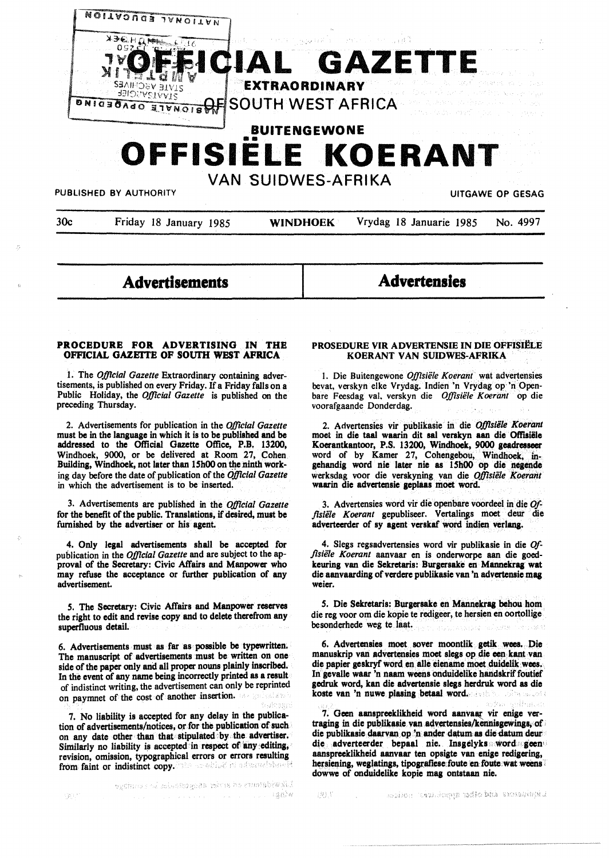

# **Advertisements**

**Advertensies** 

#### **PROCEDURE FOR ADVERTISING IN THE OFFICIAL GAZEITE OF SOUTH WEST AFRICA**

1. The *Official Gazette* Extraordinary containing advertisements, is published on every Friday. If a Friday falls on a Public Holiday, the *Official Gazette* is published on the preceding Thursday.

2. Advertisements for publication in the *Official Gazette*  must be in **the language** in which it is to be published **and be**  addressed to the Official Gazette Office, P.B. 13200, Windhoek, 9000, or be delivered at Room 27, Cohen Building, Windhoek, not later than 15h00 on the ninth working day before the date of publication of the *Official Gazette*  in which the advertisement is to be inserted.

3. Advertisements are published in the *OjJlcial Gazette*  for the benefit of the public. Translations, if desired, must be furnished by the advertiser or his agent.

4. Only legal advertisements shall be accepted for publication in the *Official Gazette* and are subject to the approval of the Secretary: Civic Affairs and Manpower who may refuse the acceptance or further publication of any advertisement.

5. The Secretary: Civic Affairs and Manpower reserves the right to edit and revise copy and to delete therefrom any superfluous detail.

6. Advertisements must as far as· possible be typewritten. The manuscript of advertisements must be written on one side of the paper only and all proper nouns plainly inscribed. In the event of any name being incorrectly printed **as a** result of indistinct writing, the advertisement can only be reprinted on paymnet of the cost of another insertion.

7. No liability is accepted for any delay in the publication of advertisements/notices, or.for the publication of such on any date other than that stipulated by the **advertiser.**  Similarly no liability is accepted in respect of any editing, revision, omission, typographical errors or errors resulting<br>from faint or indistinct convenience in a structure of from faint or indistinct copy.

## PROSEDURE VIR ADVERTENSIE IN DIE OFFISIËLE **KOERANT VAN SUIDWES-AFRIKA**

I. Die Buitengewone *Offisiele Koerant* wat advertensies bevat, verskyn elke Vrydag. Indien 'n Vrydag op 'n Openbare Feesdag val. verskyn die *OjJlsiele Koerant* op die voorafgaande Donderdag.

2. Advertensies vir publikasie in die *O./Jlsiile Koerant*  moet in **die taa1 waarin** dit **sat verskyn aan die Oftlaiile Kocrantkantoor, P.S.** 13200, **Windhoek, 9000 geadresseer**  word of by Kamer 27, Cohengebou, Windhoek, ingehandig word nie later nie as 15h00 op die negende werksdag voor die verskyning van die Offisiële Koerant waarin die advertensie **geplaas** moet word.

3. Advertensies word vir die openbare voordeel in die *Of*flsiële Koerant gepubliseer. Vertalings moet deur die adverteerder of sy agent verskaf word indien verlang.

4. Slegs regsadvertensies word vir publikasie in die *Offlsiele Koerant* aanvaar en is onderworpe aan die goedkeuring van die Sekretaris: Burgersake en **Mannekrag wat**  die aanvaarding of verdere publikasie van 'n advertensie mag weier.

5. Die Sekretaris: Burgersake en Mannekrag behou hom die reg voor om die kopie te redigeer, te hersien en oortollige · besonderhede weg te laat.

6. Advertensies moet . sover moontlik getik wees •.. Die manuskrip van advertenaiea moet slegs op die een kant van die papier geskryf word en alle eiename moet duidelik wees. In gevalle waar 'n naam weens onduidelike handskrif foutief gedruk word, kan die advertensie slegs herdruk word as die koste van 'n nuwe plasing betaal word.

7. Geen aanspreeklikheid word aanvaar vir enige vertraging in die publikasie van advertensies/kennisgewings. of die publikasie daarvan op 'n ander datum as die datum deur die adverteerder bepaal nie. Insgelyks word geen aanspreeklikheid aanvaar ten opsigte van enige redigering, hersiening, weglatings, tipografiese foute en foute wat weens dowwe of onduidelike kopie mag ontstaan nie.

serine tamingga walo bhà sunshinyi. 法法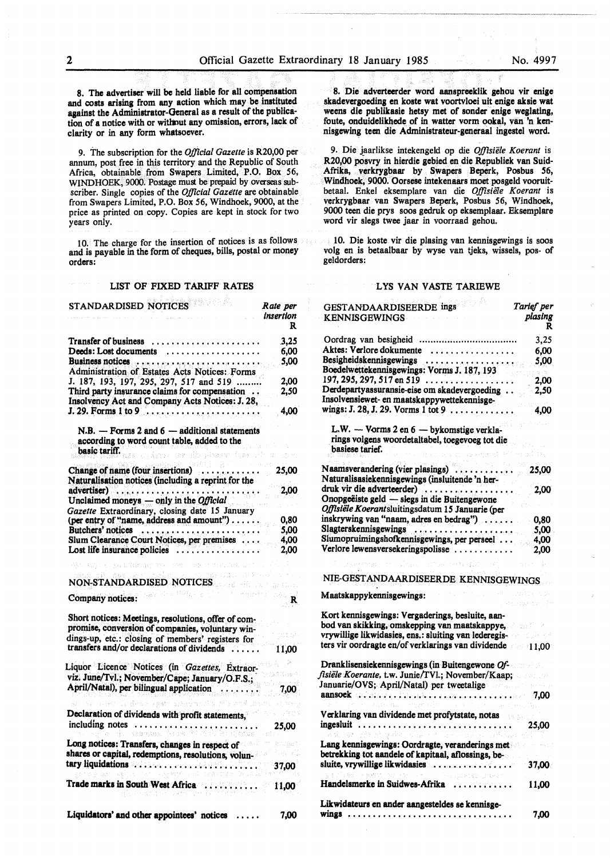**8. The advertiser** will **be held liable** for all compenaation **and costs arising** from **any action** which **may be instituted against the Administrator-General as a** result of the publication of a notice with or without any omission, errors, lack of clarity or in any form **whatsoever.** 

9. The subscription for the *Official Gazette* is R20,00 per annum, post free in this territory and the Republic of South Africa, obtainable from Swapers Limited, P.O. Box 56, WINDHOEK, 9000. Postage must be prepaid by overseas subscriber. Single copies of the *Official Gazette* are obtainable from Swapers Limited, P.O. Box 56, Windhoek, 9000, at the price as printed on copy. Copies are kept in stock for two years only.

10. The charge for the insertion of notices is as follows and is payable in the form of cheques, bills, postal or money orders:

### LIST OF FIXED TARIFF RATES

| STANDARDISED NOTICES                                                                                            | Rate per<br>insertion |
|-----------------------------------------------------------------------------------------------------------------|-----------------------|
|                                                                                                                 | R                     |
| Transfer of business<br>.                                                                                       | 3,25                  |
| Deeds: Lost documents<br>.                                                                                      | 6.00                  |
|                                                                                                                 | 5.00                  |
| Administration of Estates Acts Notices: Forms                                                                   |                       |
| J. 187, 193, 197, 295, 297, 517 and 519                                                                         | 2,00                  |
| Third party insurance claims for compensation<br>Insolvency Act and Company Acts Notices: J. 28,                | 2,50                  |
|                                                                                                                 | 4,00                  |
| $N.B. - Forms 2 and 6 - additional statements$<br>according to word count table, added to the                   |                       |
| basic tariff.<br>rainer av de kaner<br>films                                                                    |                       |
| Change of name (four insertions)<br>u ar<br>Hadenen                                                             | 25.00                 |
| Naturalisation notices (including a reprint for the                                                             |                       |
| advertiser)                                                                                                     | 2,00                  |
| Unclaimed moneys $-$ only in the <i>Official</i>                                                                |                       |
| Gazette Extraordinary, closing date 15 January                                                                  |                       |
| (per entry of "name, address and amount")                                                                       | 0,80                  |
|                                                                                                                 | 5.00                  |
| Slum Clearance Court Notices, per premises                                                                      | 4,00                  |
| Lost life insurance policies $\dots\dots\dots\dots\dots$                                                        | 2,00                  |
| ession complex explicit of any<br>es addanac me                                                                 |                       |
|                                                                                                                 |                       |
| NON-STANDARDISED NOTICES                                                                                        | ESSESSION             |
| 网络棉桃 医肠切除术<br>Company notices:                                                                                  | e.<br>$\mathbb{R}$    |
| Short notices: Meetings, resolutions, offer of com-                                                             |                       |
| promise, conversion of companies, voluntary win-                                                                |                       |
| dings-up, etc.: closing of members' registers for                                                               |                       |
| transfers and/or declarations of dividends                                                                      | 11,00                 |
|                                                                                                                 |                       |
| Liquor Licence Notices (in Gazettes, Extraor-                                                                   |                       |
| viz. June/Tvl.; November/Cape; January/O.F.S.;                                                                  |                       |
| April/Natal), per bilingual application                                                                         | 7,00                  |
| an se suer ledrah gystraganda riva                                                                              |                       |
| Declaration of dividends with profit statements,                                                                |                       |
| including notes<br>termaa berk b                                                                                | 25,00                 |
| Long notices: Transfers, changes in respect of<br>shares or capital, redemptions, resolutions, volun-           |                       |
| tary liquidations with the control of the control of the control of the control of the control of the control o | 37,00                 |
| Trade marks in South West Africa                                                                                | 11,00                 |
| Liquidators' and other appointees' notices                                                                      | 7,00                  |

8. Die adverteerder word aanspreeklik gehou vir enige skadevergoeding en koste wat voortvloei uit enige aksie wat weens die publikasie hetsy met of sonder enige weglating, foute, onduidelikhede of in watter vorm ookal, van 'n kennisgewing teen die Administrateur-generaal ingestel word.

9. Die jaarlikse intekengeld op die *O.lfisiele Koerant* is R20,00 posvry in hierdie gebied en die Republiek van Suid-Afrika, verkrygbaar by Swapers Beperk, Posbus 56, Windhoek, 9000. Oorsese intekenaars moet posgeld vooruitbetaal. Enkel eksemplare van die *Offisie1e Koerant* is verkrygbaar van Swapers Beperk, Posbus 56, Windhoek, 9000 teen die prys soos gedruk op eksemplaar. Eksemplare word vir slegs twee jaar in voorraad gehou.

1 O. Die koste vir die plasing van kennisgewings is soos volg en is betaalbaar by wyse van tjeks, wissels, pos- of geldorders:

#### LYS VAN VASTE TARIEWE

| GESTANDAARDISEERDE ings                                                                                                                                                                                                        | Tarlef per   |
|--------------------------------------------------------------------------------------------------------------------------------------------------------------------------------------------------------------------------------|--------------|
| <b>KENNISGEWINGS</b>                                                                                                                                                                                                           | plasing<br>R |
|                                                                                                                                                                                                                                | 3,25         |
| Aktes: Verlore dokumente<br>.                                                                                                                                                                                                  | 6.00         |
| Besigheidskennisgewings entertainment and the state of the state of the state of the state of the state of the state of the state of the state of the state of the state of the state of the state of the state of the state o | 5.00         |
| Boedelwettekennisgewings: Vorms J. 187, 193                                                                                                                                                                                    |              |
| 197, 295, 297, 517 en 519 $\dots$                                                                                                                                                                                              | 2,00         |
| Derdepartyassuransie-eise om skadevergoeding                                                                                                                                                                                   | 2,50         |
| Insolvensiewet- en maatskappywettekennisge-                                                                                                                                                                                    |              |
| wings: J. 28, J. 29. Vorms 1 tot 9                                                                                                                                                                                             | 4,00         |
| L.W. - Vorms 2 en 6 - bykomstige verkla-                                                                                                                                                                                       |              |
| rings volgens woordetaltabel, toegevoeg tot die                                                                                                                                                                                |              |
| basiese tarief.<br><b>CREDIT CONSTRUCT</b>                                                                                                                                                                                     | -30%         |
| Naamsverandering (vier plasings)                                                                                                                                                                                               |              |
|                                                                                                                                                                                                                                | 25,00        |
| Naturalisasiekennisgewings (insluitende 'n her-                                                                                                                                                                                |              |
| druk vir die adverteerder)<br>Onopgeëiste geld — slegs in die Buitengewone                                                                                                                                                     | 2,00         |
|                                                                                                                                                                                                                                |              |
| Offisiële Koerantsluitingsdatum 15 Januarie (per                                                                                                                                                                               |              |
| inskrywing van "naam, adres en bedrag")                                                                                                                                                                                        | 0,80         |
| Slagterskennisgewings                                                                                                                                                                                                          | 5,00         |
| Slumopruimingshofkennisgewings, per perseel                                                                                                                                                                                    | 4,00         |
| Verlore lewensversekeringspolisse                                                                                                                                                                                              | 2,00         |
| and process subject that                                                                                                                                                                                                       |              |
| NIE-GESTANDAARDISEERDE KENNISGEWINGS                                                                                                                                                                                           |              |
| tari da<br>Maatskappykennisgewings:                                                                                                                                                                                            | Park Barry C |
| Kort kennisgewings: Vergaderings, besluite, aan-                                                                                                                                                                               |              |
| bod van skikking, omskepping van maatskappye,                                                                                                                                                                                  |              |
| vrywillige likwidasies, ens.: sluiting van lederegis-                                                                                                                                                                          |              |
| ters vir oordragte en/of verklarings van dividende 11.00                                                                                                                                                                       |              |
|                                                                                                                                                                                                                                |              |
| Dranklisensiekennisgewings (in Buitengewone Of-                                                                                                                                                                                |              |
| fisiële Koerante, t.w. Junie/TVl.; November/Kaap;                                                                                                                                                                              |              |
| Januarie/OVS; April/Natal) per tweetalige                                                                                                                                                                                      |              |
| aansoek districted it to provide a provide contract of the same 7,00<br>$\epsilon_{\rm cr}$                                                                                                                                    |              |
| Verklaring van dividende met profytstate, notas                                                                                                                                                                                |              |
| ingesluit<br>add all goberns, and the command in a physical                                                                                                                                                                    | 25,00        |
| Lang kennisgewings: Oordragte, veranderings met                                                                                                                                                                                |              |
| betrekking tot aandele of kapitaal, aflossings, be-                                                                                                                                                                            |              |
| sluite, vrywillige likwidasies                                                                                                                                                                                                 | $-37,00$     |
| He world a started for<br>Handelsmerke in Suidwes-Afrika                                                                                                                                                                       | 11,00        |
| Likwidateurs en ander aangesteldes se kennisge-                                                                                                                                                                                |              |
|                                                                                                                                                                                                                                | 7,00         |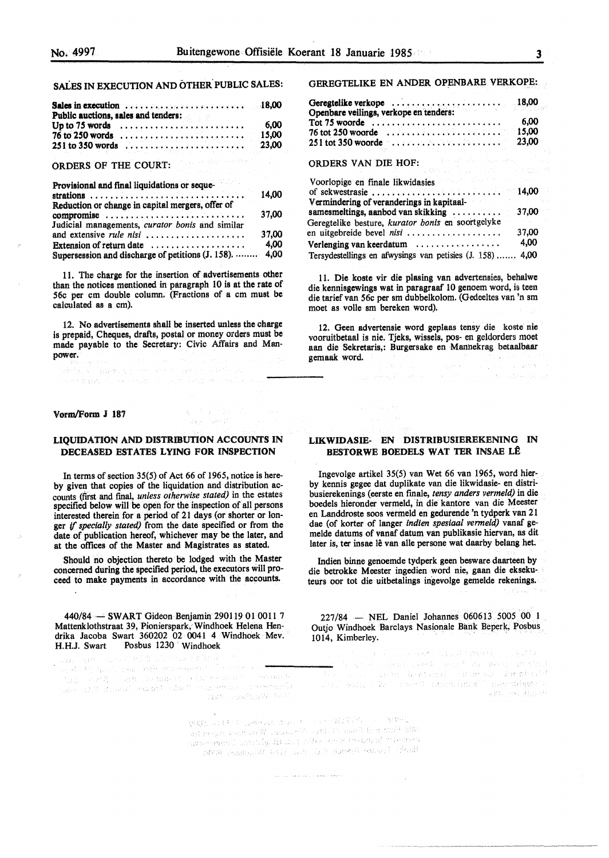# SALES IN EXECUTION AND OTHER. PUBLIC SALES:

| Sales in execution $\ldots \ldots \ldots \ldots \ldots \ldots$<br>Public auctions, sales and tenders: | 18,00 |
|-------------------------------------------------------------------------------------------------------|-------|
| Up to 75 words                                                                                        | 6,00  |
| $76$ to 250 words                                                                                     | 15,00 |
| 251 to 350 words                                                                                      | 23.00 |
| ORDERS OF THE COURT:                                                                                  |       |
| Provisional and final liquidations or seque-                                                          |       |
| Reduction or change in capital mergers, offer of                                                      | 14.00 |
| compromise                                                                                            | 37,00 |
| Judicial managements, curator bonis and similar                                                       |       |
| and extensive <i>rule nisi</i>                                                                        | 37.00 |
| Extension of return date $\ldots, \ldots, \ldots, \ldots, \ldots$                                     | 4.00  |
| Supersession and discharge of petitions (J. 158).                                                     | 4.00  |

11. The charge for the insertion of advertisements other than the notices mentioned in paragraph 10 is at the rate of 56c per cm double column. (Fractions of a cm must be calculated as a cm).

12. No advertisements shall be inserted unless the charge is prepaid, Cheques, drafts, postal or money orders must be made payable to the Secretary: Civic Affairs and Manpower.

adela de lagar es en un no sanco seleticu. a experience in a control of ports and more of a so-

Vorm/Form J 187

#### LIQUIDATION AND DISTRIBUTION ACCOUNTS IN DECEASED ESTATES LYING FOR. INSPECTION

 $q_{\rm AF} = \langle m v \rangle^{\rm r}$ 

In terms of section 35(5) of Act 66 of 1965, notice is hereby given that copies of the liquidation and distribution accounts (frrst and final, *unless othenvise stated)* in the estates specified below will be open for the inspection of all persons interested therein for a period of 21 days (or shorter or longer if *specially stated)* from the date specified or from the date of publication hereof, whichever may be the later, and at the offices of the Master and Magistrates as stated.

Should no objection thereto be lodged with the Master concerned during the specified period, the executors will proceed to make payments in accordance with the accounts.

440/84 - SWART Gideon Benjamin 290119 01 0011 7 Mattenklothstraat 39, Pionierspark, Windhoek Helena Hendrika Jacoba Swart 360202 02 0041 4 Windhoek Mev. H.H.J. Swart Posbus 1230 Windhoek

GEREGTELIKE EN ANDER OPENBARE VERKOPE:.

| Geregtelike verkope                                             | 18,00                  |
|-----------------------------------------------------------------|------------------------|
| Openbare veilings, verkope en tenders:<br>Tot $75$ woorde       | 6.00                   |
| $76$ tot 250 woorde $\ldots \ldots \ldots \ldots \ldots \ldots$ | 15.00                  |
|                                                                 | 23.00                  |
| the cash and collapse services.<br><b>ORDERS VAN DIE HOF:</b>   | そうがく う                 |
| Voorlopige en finale likwidasies                                | <b>Complete Advise</b> |
| of sekwestrasie                                                 | 14.00                  |
| Vermindering of veranderings in kapitaal-                       |                        |
| samesmeltings, aanbod van skikking                              | 37.00                  |
| Geregtelike besture, kurator bonis en soortgelyke               |                        |
| en uitgebreide bevel <i>nisi</i>                                | 37,00                  |
| Verlenging van keerdatum $\dots\dots\dots\dots\dots\dots$       | 4.00                   |
| Tersydestellings en afwysings van petisies (J. 158)             | 4.00                   |

11. Die koste vir die plasing van advertensies, behalwe die kennisgewings wat in paragraaf 10 genoem word, is teen die tarief van 56c per sm dubbelkolom. (Gedeeltes van 'n sm moet as volle sm bereken word).

12. Geen advertensie word geplaas tensy die koste nie vooruitbetaal is nie. Tjeks, wissels, pos- en geldorders moet aan die Sekretaris,: Burgersake en Mannekrag betaalbaar gemaak word. The general process is a set of the general process of the general process of the general process<br>the general process of the general process of the general process of the general process of the general process

# LIKWIDASIE- EN DISTRIBUSIEREKENING IN **BESTORWE BOEDELS WAT TER INSAE LÊ**

Ingevolge artikel 35(5) van Wet 66 van 1965, word hierby kennis gegee dat duplikate van die likwidasie- en distribusierekenings (eerste en finale, *tensy anders vermeld)* in die boedels hieronder vermeld, in die kantore van die Meester en Landdroste soos vermeld en gedurende 'n tydperk van 21 dae (of korter of !anger *indien spesiaal vermeld)* vanaf gemelde datums of vanaf datum van publikasie hiervan, as dit later is, ter insae lê van alle persone wat daarby belang het.

Indien binne genoemde tydperk geen besware daarteen by die betrokke Meester ingedien word nie, gaan die eksekuteurs oor tot die uitbetalings ingevolge gemelde rekenings.

227/84 - NEL Daniel Johannes 060613 5005 00 1 Outjo Windhoek Barclays Nasionale Bank Beperk; Posbus 1014, Kimberley.

. KSSV.

 $A=\left\{ \begin{array}{ll} \mathbb{E}[\mathbb{E}[\mathbb{E}[\mathbb{E}[\mathbb{E}[\mathbb{E}[\mathbb{E}[\mathbb{E}[\mathbb{E}[\mathbb{E}[\mathbb{E}[\mathbb{E}[\mathbb{E}[\mathbb{E}[\mathbb{E}[\mathbb{E}[\mathbb{E}[\mathbb{E}[\mathbb{E}[\mathbb{E}[\mathbb{E}[\mathbb{E}[\mathbb{E}[\mathbb{E}[\mathbb{E}[\mathbb{E}[\mathbb{E}[\mathbb{E}[\mathbb{E}[\mathbb{E}[\mathbb{E}[\mathbb{E}[\mathbb{E}[\mathbb{E}[\mathbb{$ Seguines Abastin

 $\begin{split} \mathfrak{P}(\mathbf{g}|\mathbf{g}) = \mathbb{E}[\mathbf{g}(\mathbf{g})] = \mathfrak{p}(\mathbf{g}(\mathbf{g},\mathbf{g})) = \mathbb{E}[\mathbf{g}(\mathbf{g})] = \mathbb{E}[\mathbf{g}(\mathbf{g},\mathbf{g})] = \mathfrak{p}(\mathbf{g}(\mathbf{g},\mathbf{g})) = \mathfrak{p}(\mathbf{g}(\mathbf{g},\mathbf{g})) = \mathfrak{p}(\mathbf{g}(\mathbf{g},\mathbf{g})) = \mathfrak{p}(\mathbf{g}(\mathbf{g},\mathbf{g}))$ Saya Badini VI kati wa Ciki damma mkani Afadi

والمعاقبة المتعاقبات والمستوجب والمستحدث والمستحدث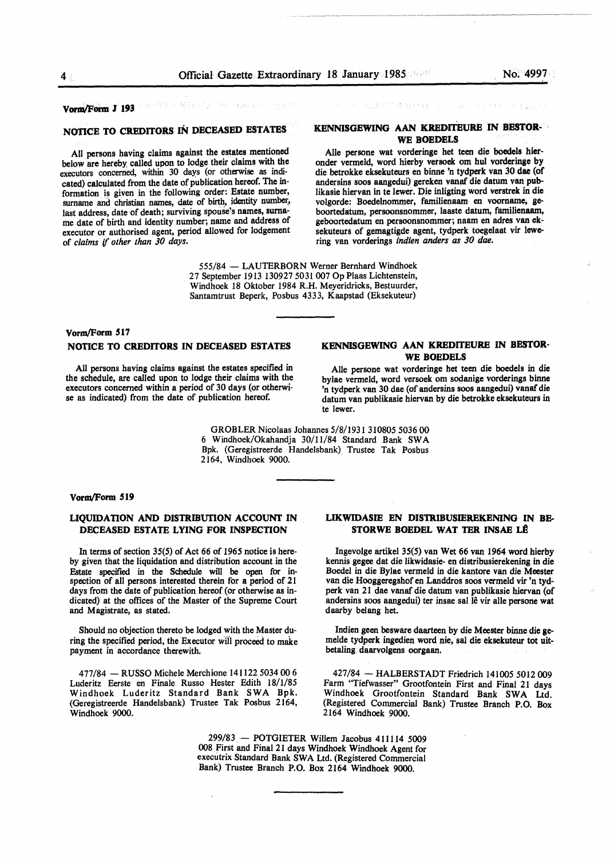#### **Fall in the 30 Vorm/Form J 193**

**BEATT BREED AT Real of Style Property** 

# **NOTICE TO CR.EDITORS** IN **DECEASED ESTATES**

All persons having claims against the estates mentioned below are hereby called upon to lodge their claims with the executors concerned, within 30 days (or otherwise as indicated) calculated from the date of publication hereof. The information is given in the following order: Estate number, surname and christian names, date of birth, identity number, last address, date of death; surviving spouse's names, surname date of birth and identity number; name and address of executor or authorised agent, period allowed for lodgement of *claims if other than 30 days.* 

## **KENNISGEWING AAN KREDITEURE** IN **BESTOR-**WE **BOEDELS**

Alie persone wat vorderinge het teen die boedels hieronder vermeld, word hierby versoek om hul vorderinge by die betrokke eksekuteurs en binne 'n tydperk van 30 dae (of andersins soos aangedui) gereken vanaf die datum van publikasie hiervan in te Iewer. Die inligting word verstrek in die volgorde: Boedelnommer, familienaam en voorname, geboortedatum, persoonsnommer, Iaaste datum, familienaam, geboortedatum en persoonsnommer; naam en adres van eksekuteurs of gemagtigde agent, tydperk toegelaat vir lewering van vorderings *indien anders as 30 dae.* 

555/84 - LAUTERBORN Werner Bernhard Windhoek 27 September 1913 130927 5031 007 Op Plaas Lichtenstein, Windhoek 18 Oktober 1984 R.H. Meyeridricks, Bestuurder, Santamtrust Beperk, Posbus 4333, Kaapstad (Eksekuteur)

# **Vorm/Form S17 NOTICE TO CREDITORS IN DECEASED ESTATES**

All persons having claims against the estates specified in the schedule, are called upon to lodge their claims with the executors concerned within a period of 30 days (or otherwise as indicated) from the date of publication hereof.

# **KENNISGEWING AAN KREDITEURE** IN **BESTOR-WE BOEDELS**

Alie persone wat vorderinge het teen die boedels in die bylae vermeld, word versoek om sodanige vorderings binne 'n tydperk van 30 dae (of andersins soos aangedui) vanaf die datum van publikasie hiervan by die betrokke eksekuteurs in te lewer.

GROBLER Nicolaas Johannes 5/8/1931 310805 5036 00 6 Windhoek/Okahandja 30/11/84 Standard Bank SWA Bpk. (Geregistreerde Handelsbank) Trustee Tak Posbus 2164, Windhoek 9000.

#### **Vorm/Form 519**

# **LIQUIDATION AND DISTRIBUTION ACCOUNT IN DECEASED ESTATE LYING FOR INSPECTION**

In terms of section 35(5) of Act 66 of 1965 notice is hereby given that the liquidation and distribution account in the Estate specified in the Schedule will be open for inspection of all persons interested therein for a period of 21 days from the date of publication hereof (or otherwise as indicated} at the offices of the Master of the Supreme Court and Magistrate, as stated.

Should no objection thereto be lodged with the Master during the specified period, the Executor wiil proceed to make payment in accordance therewith.

477/84 - RUSSO Michele Merchione 141122 5034 00 6 Luderitz Eerste en Finale Russo Hester Edith 18/1/85 Windhoek Luderitz Standard Bank SWA Bpk. (Geregistreerde Handelsbank) Trustee Tak Posbus 2164, Windhoek 9000.

# **LIKWIDASIE EN DISTRIBUSIEREKENING** IN **BB-STORWE BOEDEL WAT TER INSAE LÊ**

lngevolge artikel 35(5) van Wet 66 van 1964 word hierby kennis gegee dat die likwidasie- en distribusierekening in die Boedel in die Bylae vermeld in die kantore van die Meester van die Hooggeregshof en Landdros soos vermeld vir 'n tydperk van 21 dae vanaf die datum van publikasie hiervan (of andersins soos aangedui) ter insae sal lê vir alle persone wat daarby belang het.

Indien geen besware daarteen by die Meester binne die gemelde tydperk ingedien word nie, sal die eksekuteur tot uitbetaling daarvolgens oorgaan.

427/84 - HALBERSTADT Friedrich 141005 5012 009 Farm "Tiefwasser" Grootfontein First and Final 21 days Windhoek Grootfontein Standard Bank SWA Ltd. (Registered Commercial Bank) Trustee Branch P.O. Box 2164 Windhoek 9000.

299/83 - POTGIETER Willem Jacobus 411114 5009 008 First and Final 21 days Windhoek Windhoek Agent for executrix Standard Bank SWA Ltd. (Registered Commercial Bank) Trustee Branch P.O. Box 2164 Windhoek 9000.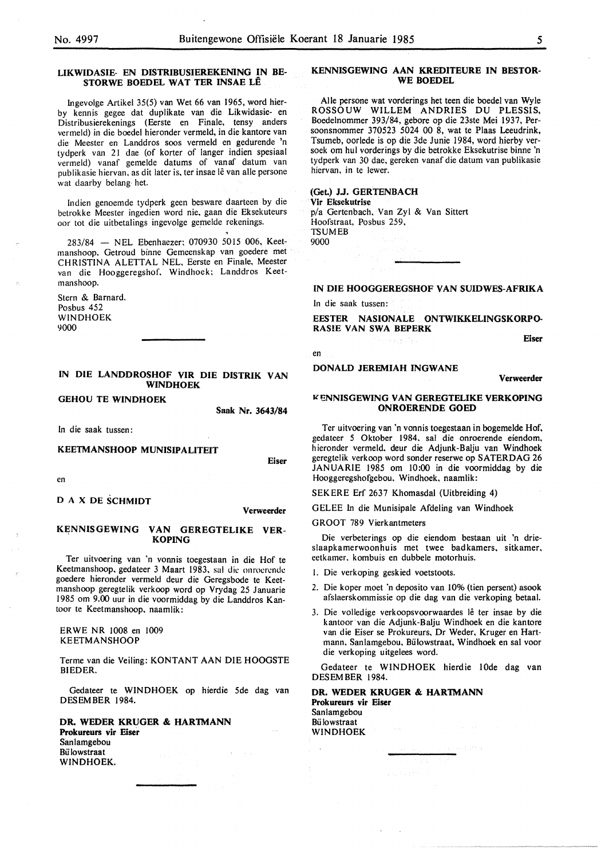#### **LIKWIDASIE- EN DISTRIBUSIEREKENING IN BE· STORWE BOEDEL WAT TER INSAE LÊ**

Ingevolge Artikel 35(5) van Wet 66 van 1965, word hierby kennis gegee dat duplikate van die Likwidasie- en Distribusierekenings (Eerste en Finale, tensy anders vermeld) in die boedel hieronder vermeld, in die kantore van die Meester en Landdros soos vermeld en gedurende 'n tydperk van 21 dae (of korter of !anger indien spesiaal vermeld) vanaf gemelde datums of vanaf datum van publikasie hiervan, as dit later is, ter insae lê van alle persone wat daarby belang het.

Indien genoemde tydperk geen besware daarteen by die betrokke Meester ingedien word nie. gaan die Eksekuteurs oor tot die uitbetalings ingevolge gemelde rekenings.

283/84 - NEL Ebenhaezer; 070930 5015 006, Keetmanshoop. Getroud binne Gemeenskap van goedere met CHRISTINA ALETTAL NEL. Eerste en Finale, Meester van die Hooggeregshof. Windhoek; Landdros Keetmanshoop.

Stern & Barnard. Posbus 452 WINDHOEK 9000

#### **IN DIE LANDDROSHOF VIR DIE DISTRIK VAN WINDHOEK**

**GEHOU TE WINDHOEK** 

**Saak Nr. 3643/84** 

In die saak tussen:

# **KEETMANSHOOP MUNISIPALITEIT**

**Eiser** 

**Verweerder** 

en

*D* **A X DE SCHMIDT** 

# **KENNISGEWING VAN GEREGTELIKE VER-**<br>**KOPING**

Ter uitvoering van 'n vonnis toegestaan in die Hof te Keetmanshoop. gedateer 3 Maart 1983, sal die onrocrcndc goedere hieronder vermeld deur die Geregsbode te Keetmanshoop geregtelik verkoop word op Vrydag 25 Januarie 1985 om 9.00 uur in die voormiddag by die Landdros Kantoor te Keetmanshoop, naamlik:

ERWE NR 1008 en 1009 KEETMANSHOOP

Terme van die Veiling: KONTANT AAN DIE HOOGSTE BIEDER.

Gedateer te WINDHOEK op hierdie 5de dag van DESEMBER 1984.

**DR. WEDER KRUGER** & **HARTMANN Prokureurs vir Eiser**  Sanlamgebou **Bülowstraat** WINDHOEK.

#### **KENNISGEWING AAN KREDITEURE IN BESTOR-WE BOEDEL**

Alie persone wat vorderings het teen die boedel van Wyle ROSSOUW WILLEM ANDRIES DU PLESSIS, Boedelnommer 393/84, gebore op die 23ste Mei 1937, Persoonsnommer 370523 5024 00 8, wat te Plaas Leeudrink, Tsumeb, oorlede is op die 3de Junie 1984, word hierby versoek om hul vorderings by die betrokke Eksekutrise binne 'n tydperk van 30 dae, gereken vanaf die datum van publikasie hiervan, in te lewer.

**(Get.) J.J. GERTENBACH Vir Eksekutrise**  p/a Gertenbach. Van Zyl & Van Sittert Hoofstraat, Posbus 259, TSUMEB 9000

**IN DIE HOOGGEREGSHOF VAN SUIDWES-AFRIKA** 

In die saak tussen:

en

**BESTER NASIONALE ONTWIKKELINGSKORPO-RAS!E VAN SWA BEPERK** 

**DONALD JEREMIAH INGWANE** 

**Verweerder** 

**Eiser** 

#### *K*ENNISGEWING VAN GEREGTELIKE VERKOPING **ONROERENDE GOED**

Ter uitvoering van 'n vonnis toegestaan in bogemelde Hof, gedateer *5* Oktober 1984. sal die onroerende eiendom. hieronder vermeld. deur die Adjunk-Balju van Windhoek geregtelik verkoop word sonder reserwe op SATERDAG 26 JANUARIE 1985 om 10:00 in die voormiddag by die Hooggeregshofgebou. Windhoek, naamlik:

SEKERE Erf 2637 Khomasdal (Uitbreiding 4)

GELEE In die Munisipale Afdeling van Windhoek

GROOT 789 Vierkantmeters

Die verbeterings op die eiendom bestaan uit 'n drieslaapkamerwoonhuis met twee badkamers, sitkamer, eetkamer. kombuis en dubbele motorhuis.

I. Die verkoping geskied voetstoots.

- 2. Die koper moet 'n deposito van 10% (tien persent) asook afslaerskommissie op die dag van die verkoping betaal.
- 3. Die volledige verkoopsvoorwaardes lê ter insae by die kantoor van die Adjunk-Balju Windhoek en die kantore van die Eiser se Prokureurs, Dr Weder, Kruger en Hartmann. Sanlamgebou, Bulowstraat, Windhoek en sal voor die verkoping uitgelees word.

Gedateer te **WINDHOEK** hierdie !Ode dag van DES EM BER 1984.

**DR. WEDER KRUGER** & **HARTMANN Prokureurs vir Eiser**  Sanlamgebou Bü lowstraat WINDHOEK